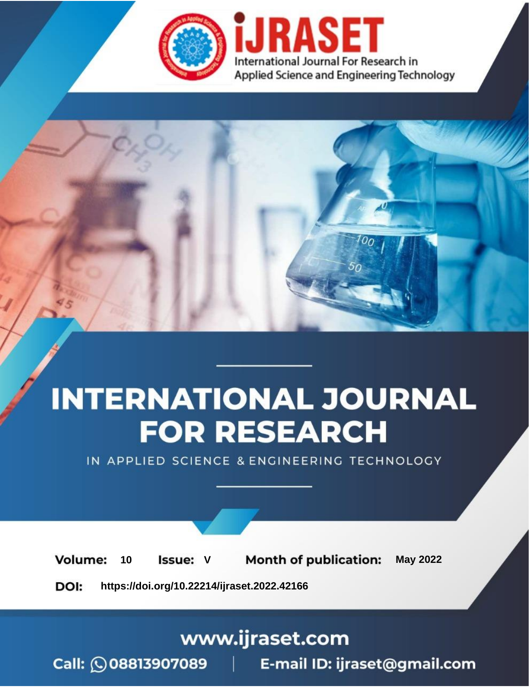

# **INTERNATIONAL JOURNAL FOR RESEARCH**

IN APPLIED SCIENCE & ENGINEERING TECHNOLOGY

Volume: **Month of publication: May 2022** 10 **Issue: V** 

DOI: https://doi.org/10.22214/ijraset.2022.42166

www.ijraset.com

Call: 008813907089 | E-mail ID: ijraset@gmail.com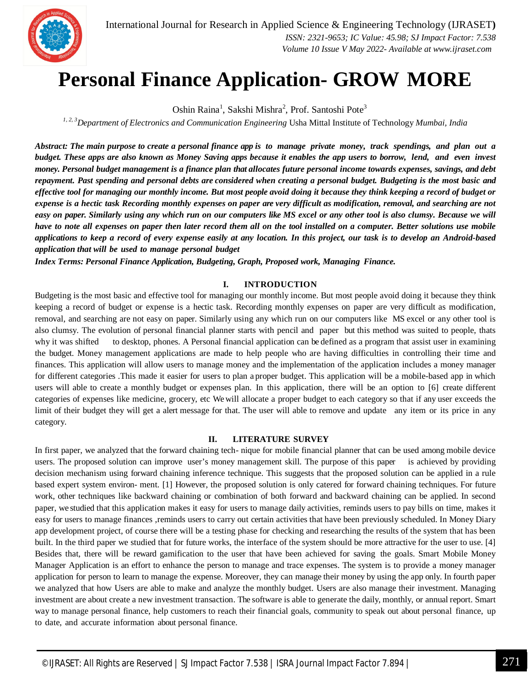

### **Personal Finance Application- GROW MORE**

Oshin Raina<sup>1</sup>, Sakshi Mishra<sup>2</sup>, Prof. Santoshi Pote<sup>3</sup>

*1, 2, 3Department of Electronics and Communication Engineering* Usha Mittal Institute of Technology *Mumbai, India*

*Abstract: The main purpose to create a personal finance app is to manage private money, track spendings, and plan out a budget. These apps are also known as Money Saving apps because it enables the app users to borrow, lend, and even invest money. Personal budget management is a finance plan that allocates future personal income towards expenses, savings, and debt repayment. Past spending and personal debts are considered when creating a personal budget. Budgeting is the most basic and effective tool for managing our monthly income. But most people avoid doing it because they think keeping a record of budget or expense is a hectic task Recording monthly expenses on paper are very difficult as modification, removal, and searching are not easy on paper. Similarly using any which run on our computers like MS excel or any other tool is also clumsy. Because we will have to note all expenses on paper then later record them all on the tool installed on a computer. Better solutions use mobile applications to keep a record of every expense easily at any location. In this project, our task is to develop an Android-based application that will be used to manage personal budget*

*Index Terms: Personal Finance Application, Budgeting, Graph, Proposed work, Managing Finance.*

#### **I. INTRODUCTION**

Budgeting is the most basic and effective tool for managing our monthly income. But most people avoid doing it because they think keeping a record of budget or expense is a hectic task. Recording monthly expenses on paper are very difficult as modification, removal, and searching are not easy on paper. Similarly using any which run on our computers like MS excel or any other tool is also clumsy. The evolution of personal financial planner starts with pencil and paper but this method was suited to people, thats why it was shifted to desktop, phones. A Personal financial application can be defined as a program that assist user in examining the budget. Money management applications are made to help people who are having difficulties in controlling their time and finances. This application will allow users to manage money and the implementation of the application includes a money manager for different categories .This made it easier for users to plan a proper budget. This application will be a mobile-based app in which users will able to create a monthly budget or expenses plan. In this application, there will be an option to [6] create different categories of expenses like medicine, grocery, etc We will allocate a proper budget to each category so that if any user exceeds the limit of their budget they will get a alert message for that. The user will able to remove and update any item or its price in any category.

#### **II. LITERATURE SURVEY**

In first paper, we analyzed that the forward chaining tech- nique for mobile financial planner that can be used among mobile device users. The proposed solution can improve user's money management skill. The purpose of this paper is achieved by providing decision mechanism using forward chaining inference technique. This suggests that the proposed solution can be applied in a rule based expert system environ- ment. [1] However, the proposed solution is only catered for forward chaining techniques. For future work, other techniques like backward chaining or combination of both forward and backward chaining can be applied. In second paper, we studied that this application makes it easy for users to manage daily activities, reminds users to pay bills on time, makes it easy for users to manage finances ,reminds users to carry out certain activities that have been previously scheduled. In Money Diary app development project, of course there will be a testing phase for checking and researching the results of the system that has been built. In the third paper we studied that for future works, the interface of the system should be more attractive for the user to use. [4] Besides that, there will be reward gamification to the user that have been achieved for saving the goals. Smart Mobile Money Manager Application is an effort to enhance the person to manage and trace expenses. The system is to provide a money manager application for person to learn to manage the expense. Moreover, they can manage their money by using the app only. In fourth paper we analyzed that how Users are able to make and analyze the monthly budget. Users are also manage their investment. Managing investment are about create a new investment transaction. The software is able to generate the daily, monthly, or annual report. Smart way to manage personal finance, help customers to reach their financial goals, community to speak out about personal finance, up to date, and accurate information about personal finance.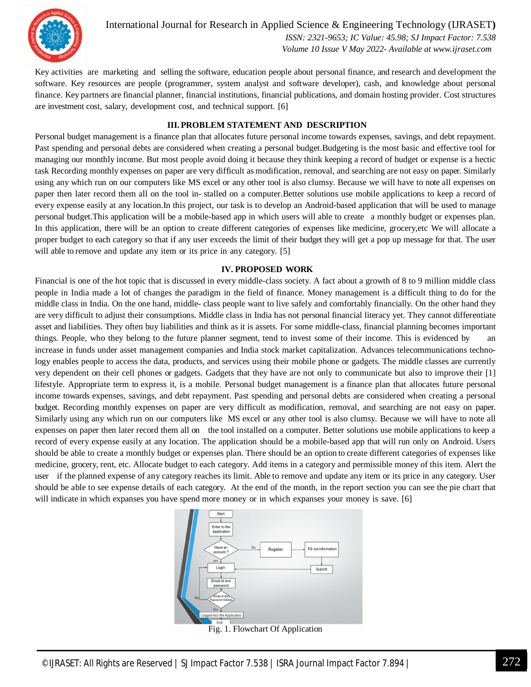

International Journal for Research in Applied Science & Engineering Technology (IJRASET**)**  *ISSN: 2321-9653; IC Value: 45.98; SJ Impact Factor: 7.538*

 *Volume 10 Issue V May 2022- Available at www.ijraset.com*

Key activities are marketing and selling the software, education people about personal finance, and research and development the software. Key resources are people (programmer, system analyst and software developer), cash, and knowledge about personal finance. Key partners are financial planner, financial institutions, financial publications, and domain hosting provider. Cost structures are investment cost, salary, development cost, and technical support. [6]

#### **III. PROBLEM STATEMENT AND DESCRIPTION**

Personal budget management is a finance plan that allocates future personal income towards expenses, savings, and debt repayment. Past spending and personal debts are considered when creating a personal budget.Budgeting is the most basic and effective tool for managing our monthly income. But most people avoid doing it because they think keeping a record of budget or expense is a hectic task Recording monthly expenses on paper are very difficult as modification, removal, and searching are not easy on paper. Similarly using any which run on our computers like MS excel or any other tool is also clumsy. Because we will have to note all expenses on paper then later record them all on the tool in- stalled on a computer.Better solutions use mobile applications to keep a record of every expense easily at any location.In this project, our task is to develop an Android-based application that will be used to manage personal budget.This application will be a mobile-based app in which users will able to create a monthly budget or expenses plan. In this application, there will be an option to create different categories of expenses like medicine, grocery,etc We will allocate a proper budget to each category so that if any user exceeds the limit of their budget they will get a pop up message for that. The user will able to remove and update any item or its price in any category. [5]

#### **IV. PROPOSED WORK**

Financial is one of the hot topic that is discussed in every middle-class society. A fact about a growth of 8 to 9 million middle class people in India made a lot of changes the paradigm in the field of finance. Money management is a difficult thing to do for the middle class in India. On the one hand, middle- class people want to live safely and comfortably financially. On the other hand they are very difficult to adjust their consumptions. Middle class in India has not personal financial literacy yet. They cannot differentiate asset and liabilities. They often buy liabilities and think as it is assets. For some middle-class, financial planning becomes important things. People, who they belong to the future planner segment, tend to invest some of their income. This is evidenced by an increase in funds under asset management companies and India stock market capitalization. Advances telecommunications technology enables people to access the data, products, and services using their mobile phone or gadgets. The middle classes are currently very dependent on their cell phones or gadgets. Gadgets that they have are not only to communicate but also to improve their [1] lifestyle. Appropriate term to express it, is a mobile. Personal budget management is a finance plan that allocates future personal income towards expenses, savings, and debt repayment. Past spending and personal debts are considered when creating a personal budget. Recording monthly expenses on paper are very difficult as modification, removal, and searching are not easy on paper. Similarly using any which run on our computers like MS excel or any other tool is also clumsy. Because we will have to note all expenses on paper then later record them all on the tool installed on a computer. Better solutions use mobile applications to keep a record of every expense easily at any location. The application should be a mobile-based app that will run only on Android. Users should be able to create a monthly budget or expenses plan. There should be an option to create different categories of expenses like medicine, grocery, rent, etc. Allocate budget to each category. Add items in a category and permissible money of this item. Alert the user if the planned expense of any category reaches its limit. Able to remove and update any item or its price in any category. User should be able to see expense details of each category. At the end of the month, in the report section you can see the pie chart that will indicate in which expanses you have spend more money or in which expanses your money is save. [6]



©IJRASET: All Rights are Reserved | SJ Impact Factor 7.538 | ISRA Journal Impact Factor 7.894 | 272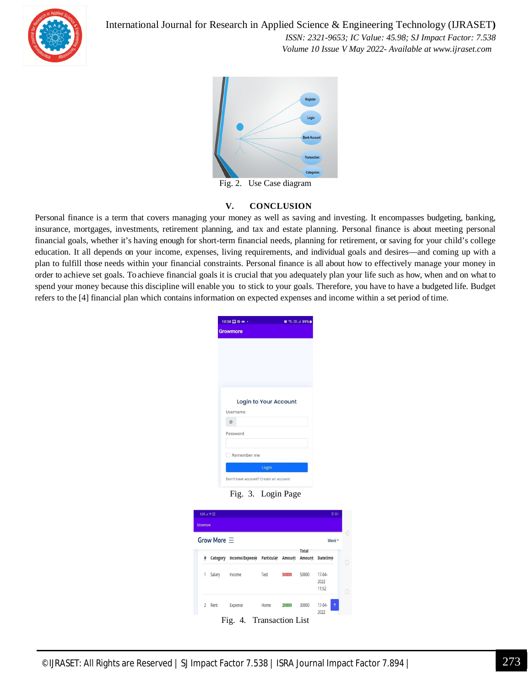

International Journal for Research in Applied Science & Engineering Technology (IJRASET**)**  *ISSN: 2321-9653; IC Value: 45.98; SJ Impact Factor: 7.538*

 *Volume 10 Issue V May 2022- Available at www.ijraset.com*



Fig. 2. Use Case diagram

#### **V. CONCLUSION**

Personal finance is a term that covers managing your money as well as saving and investing. It encompasses budgeting, banking, insurance, mortgages, investments, retirement planning, and tax and estate planning. Personal finance is about meeting personal financial goals, whether it's having enough for short-term financial needs, planning for retirement, or saving for your child's college education. It all depends on your income, expenses, living requirements, and individual goals and desires—and coming up with a plan to fulfill those needs within your financial constraints. Personal finance is all about how to effectively manage your money in order to achieve set goals. To achieve financial goals it is crucial that you adequately plan your life such as how, when and on what to spend your money because this discipline will enable you to stick to your goals. Therefore, you have to have a budgeted life. Budget refers to the [4] financial plan which contains information on expected expenses and income within a set period of time.

| 10:38 口の m ·          | ■ 第 端山 89% |  |  |  |  |
|-----------------------|------------|--|--|--|--|
| <b>Growmore</b>       |            |  |  |  |  |
|                       |            |  |  |  |  |
|                       |            |  |  |  |  |
|                       |            |  |  |  |  |
|                       |            |  |  |  |  |
|                       |            |  |  |  |  |
|                       |            |  |  |  |  |
| Login to Your Account |            |  |  |  |  |
|                       |            |  |  |  |  |
|                       |            |  |  |  |  |
| Username              |            |  |  |  |  |
| @                     |            |  |  |  |  |
| Password              |            |  |  |  |  |
|                       |            |  |  |  |  |
| Remember me           |            |  |  |  |  |
|                       |            |  |  |  |  |
| Login                 |            |  |  |  |  |

Fig. 3. Login Page

| Growmore |                    |                                  |      |       |                        |                              |
|----------|--------------------|----------------------------------|------|-------|------------------------|------------------------------|
|          | Grow More $\equiv$ |                                  |      |       |                        | Mansi -                      |
| Ħ        | Category           | Income/Expense Particular Amount |      |       | <b>Total</b><br>Amount | <b>Datetime</b>              |
| 1        | Salary             | Income                           | Test | 50000 | 50000                  | $17-04-$<br>2022<br>11:52    |
| 2        | Rent               | Expense                          | Home | 20000 | 30000                  | $\uparrow$<br>17-04-<br>2022 |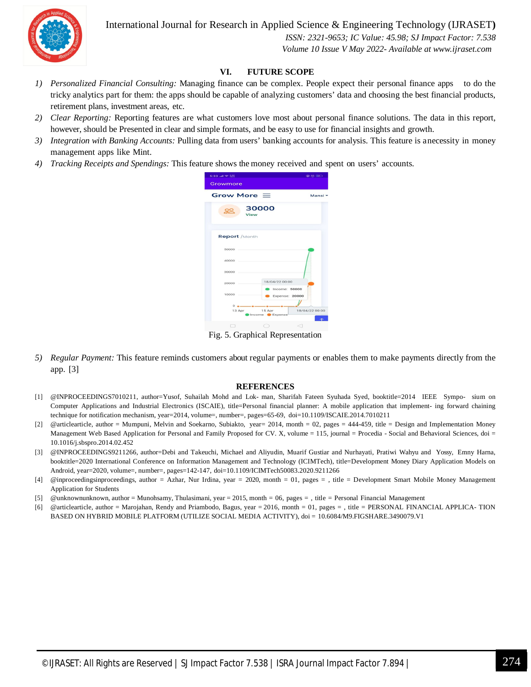International Journal for Research in Applied Science & Engineering Technology (IJRASET**)**



 *ISSN: 2321-9653; IC Value: 45.98; SJ Impact Factor: 7.538 Volume 10 Issue V May 2022- Available at www.ijraset.com*

#### **VI. FUTURE SCOPE**

- *1) Personalized Financial Consulting:* Managing finance can be complex. People expect their personal finance apps to do the tricky analytics part for them: the apps should be capable of analyzing customers' data and choosing the best financial products, retirement plans, investment areas, etc.
- *2) Clear Reporting:* Reporting features are what customers love most about personal finance solutions. The data in this report, however, should be Presented in clear and simple formats, and be easy to use for financial insights and growth.
- *3) Integration with Banking Accounts:* Pulling data from users' banking accounts for analysis. This feature is a necessity in money management apps like Mint.
- *4) Tracking Receipts and Spendings:* This feature shows the money received and spent on users' accounts.

| 5:33 .al $\equiv 2.22$           |                          | @ 芯 (31)       |
|----------------------------------|--------------------------|----------------|
| Growmore                         |                          |                |
| Grow More $\equiv$               |                          | Mansi -        |
| View                             | 30000                    |                |
| <b>Report</b> / Month            |                          |                |
| 50000                            |                          |                |
| 40000                            |                          |                |
| 30000                            |                          |                |
| 20000                            | 18/04/22 00:00           | Income: 50000  |
| 10000                            |                          | Expense: 20000 |
| $\circ$<br>13 Apr                | 15 Apr<br>Income Expense | 18/04/22 00:00 |
|                                  |                          |                |
| Fig. 5. Graphical Representation |                          |                |

*5) Regular Payment:* This feature reminds customers about regular payments or enables them to make payments directly from the app. [3]

#### **REFERENCES**

- [1] @INPROCEEDINGS7010211, author=Yusof, Suhailah Mohd and Lok- man, Sharifah Fateen Syuhada Syed, booktitle=2014 IEEE Sympo- sium on Computer Applications and Industrial Electronics (ISCAIE), title=Personal financial planner: A mobile application that implement- ing forward chaining technique for notification mechanism, year=2014, volume=, number=, pages=65-69, doi=10.1109/ISCAIE.2014.7010211
- [2] @articlearticle, author = Mumpuni, Melvin and Soekarno, Subiakto, year= 2014, month = 02, pages = 444-459, title = Design and Implementation Money Management Web Based Application for Personal and Family Proposed for CV. X, volume = 115, journal = Procedia - Social and Behavioral Sciences, doi = 10.1016/j.sbspro.2014.02.452
- [3] @INPROCEEDINGS9211266, author=Debi and Takeuchi, Michael and Aliyudin, Muarif Gustiar and Nurhayati, Pratiwi Wahyu and Yossy, Emny Harna, booktitle=2020 International Conference on Information Management and Technology (ICIMTech), title=Development Money Diary Application Models on Android, year=2020, volume=, number=, pages=142-147, doi=10.1109/ICIMTech50083.2020.9211266
- [4] @inproceedingsinproceedings, author = Azhar, Nur Irdina, year = 2020, month = 01, pages = , title = Development Smart Mobile Money Management Application for Students
- [5] @unknownunknown, author = Munohsamy, Thulasimani, year = 2015, month = 06, pages = , title = Personal Financial Management
- [6] @articlearticle, author = Marojahan, Rendy and Priambodo, Bagus, year = 2016, month = 01, pages = , title = PERSONAL FINANCIAL APPLICA- TION BASED ON HYBRID MOBILE PLATFORM (UTILIZE SOCIAL MEDIA ACTIVITY), doi = 10.6084/M9.FIGSHARE.3490079.V1